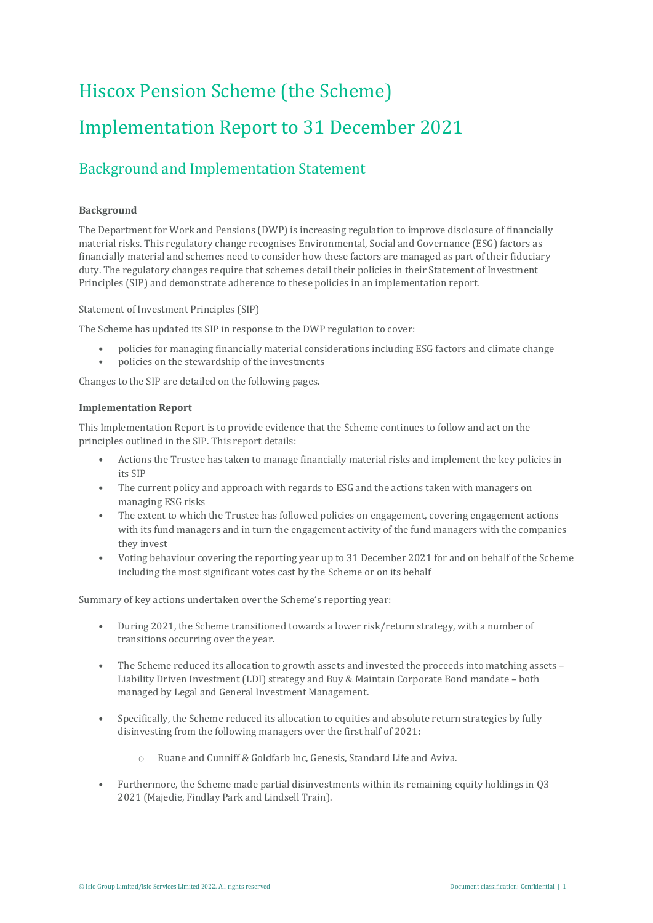# Hiscox Pension Scheme (the Scheme) Implementation Report to 31 December 2021

### Background and Implementation Statement

#### **Background**

The Department for Work and Pensions (DWP) is increasing regulation to improve disclosure of financially material risks. This regulatory change recognises Environmental, Social and Governance (ESG) factors as financially material and schemes need to consider how these factors are managed as part of their fiduciary duty. The regulatory changes require that schemes detail their policies in their Statement of Investment Principles (SIP) and demonstrate adherence to these policies in an implementation report.

Statement of Investment Principles (SIP)

The Scheme has updated its SIP in response to the DWP regulation to cover:

- policies for managing financially material considerations including ESG factors and climate change
- policies on the stewardship of the investments

Changes to the SIP are detailed on the following pages.

#### **Implementation Report**

This Implementation Report is to provide evidence that the Scheme continues to follow and act on the principles outlined in the SIP. This report details:

- Actions the Trustee has taken to manage financially material risks and implement the key policies in its SIP
- The current policy and approach with regards to ESG and the actions taken with managers on managing ESG risks
- The extent to which the Trustee has followed policies on engagement, covering engagement actions with its fund managers and in turn the engagement activity of the fund managers with the companies they invest
- Voting behaviour covering the reporting year up to 31 December 2021 for and on behalf of the Scheme including the most significant votes cast by the Scheme or on its behalf

Summary of key actions undertaken over the Scheme's reporting year:

- During 2021, the Scheme transitioned towards a lower risk/return strategy, with a number of transitions occurring over the year.
- The Scheme reduced its allocation to growth assets and invested the proceeds into matching assets Liability Driven Investment (LDI) strategy and Buy & Maintain Corporate Bond mandate – both managed by Legal and General Investment Management.
- Specifically, the Scheme reduced its allocation to equities and absolute return strategies by fully disinvesting from the following managers over the first half of 2021:
	- o Ruane and Cunniff & Goldfarb Inc, Genesis, Standard Life and Aviva.
- Furthermore, the Scheme made partial disinvestments within its remaining equity holdings in Q3 2021 (Majedie, Findlay Park and Lindsell Train).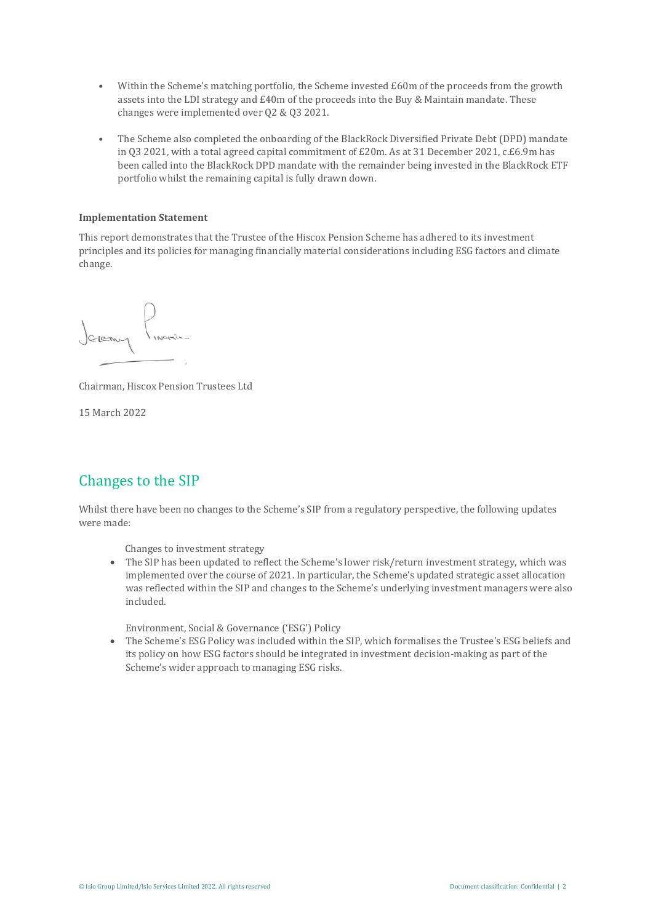- Within the Scheme's matching portfolio, the Scheme invested £60m of the proceeds from the growth assets into the LDI strategy and £40m of the proceeds into the Buy & Maintain mandate. These changes were implemented over Q2 & Q3 2021.
- The Scheme also completed the onboarding of the BlackRock Diversified Private Debt (DPD) mandate in Q3 2021, with a total agreed capital commitment of £20m. As at 31 December 2021, c.£6.9m has been called into the BlackRock DPD mandate with the remainder being invested in the BlackRock ETF portfolio whilst the remaining capital is fully drawn down.

#### **Implementation Statement**

This report demonstrates that the Trustee of the Hiscox Pension Scheme has adhered to its investment principles and its policies for managing financially material considerations including ESG factors and climate change.

Chairman, Hiscox Pension Trustees Ltd

15 March 2022

### Changes to the SIP

Whilst there have been no changes to the Scheme's SIP from a regulatory perspective, the following updates were made:

Changes to investment strategy

• The SIP has been updated to reflect the Scheme's lower risk/return investment strategy, which was implemented over the course of 2021. In particular, the Scheme's updated strategic asset allocation was reflected within the SIP and changes to the Scheme's underlying investment managers were also included.

Environment, Social & Governance ('ESG') Policy

• The Scheme's ESG Policy was included within the SIP, which formalises the Trustee's ESG beliefs and its policy on how ESG factors should be integrated in investment decision-making as part of the Scheme's wider approach to managing ESG risks.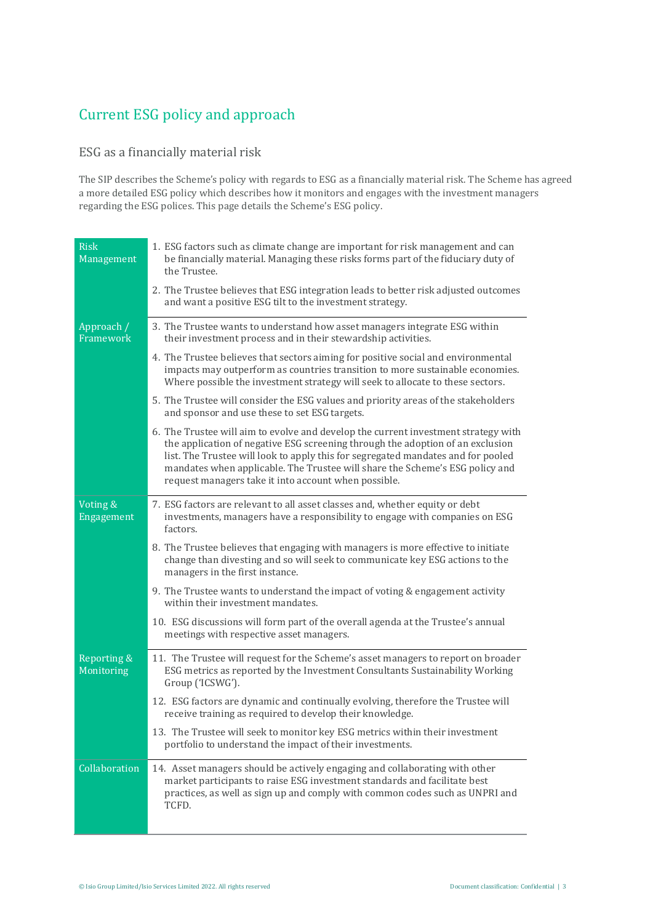### Current ESG policy and approach

#### ESG as a financially material risk

The SIP describes the Scheme's policy with regards to ESG as a financially material risk. The Scheme has agreed a more detailed ESG policy which describes how it monitors and engages with the investment managers regarding the ESG polices. This page details the Scheme's ESG policy.

| <b>Risk</b><br>Management | 1. ESG factors such as climate change are important for risk management and can<br>be financially material. Managing these risks forms part of the fiduciary duty of<br>the Trustee.                                                                                                                                                                                                             |
|---------------------------|--------------------------------------------------------------------------------------------------------------------------------------------------------------------------------------------------------------------------------------------------------------------------------------------------------------------------------------------------------------------------------------------------|
|                           | 2. The Trustee believes that ESG integration leads to better risk adjusted outcomes<br>and want a positive ESG tilt to the investment strategy.                                                                                                                                                                                                                                                  |
| Approach /<br>Framework   | 3. The Trustee wants to understand how asset managers integrate ESG within<br>their investment process and in their stewardship activities.                                                                                                                                                                                                                                                      |
|                           | 4. The Trustee believes that sectors aiming for positive social and environmental<br>impacts may outperform as countries transition to more sustainable economies.<br>Where possible the investment strategy will seek to allocate to these sectors.                                                                                                                                             |
|                           | 5. The Trustee will consider the ESG values and priority areas of the stakeholders<br>and sponsor and use these to set ESG targets.                                                                                                                                                                                                                                                              |
|                           | 6. The Trustee will aim to evolve and develop the current investment strategy with<br>the application of negative ESG screening through the adoption of an exclusion<br>list. The Trustee will look to apply this for segregated mandates and for pooled<br>mandates when applicable. The Trustee will share the Scheme's ESG policy and<br>request managers take it into account when possible. |
| Voting &<br>Engagement    | 7. ESG factors are relevant to all asset classes and, whether equity or debt<br>investments, managers have a responsibility to engage with companies on ESG<br>factors.                                                                                                                                                                                                                          |
|                           | 8. The Trustee believes that engaging with managers is more effective to initiate<br>change than divesting and so will seek to communicate key ESG actions to the<br>managers in the first instance.                                                                                                                                                                                             |
|                           | 9. The Trustee wants to understand the impact of voting & engagement activity<br>within their investment mandates.                                                                                                                                                                                                                                                                               |
|                           | 10. ESG discussions will form part of the overall agenda at the Trustee's annual<br>meetings with respective asset managers.                                                                                                                                                                                                                                                                     |
| Reporting &<br>Monitoring | 11. The Trustee will request for the Scheme's asset managers to report on broader<br>ESG metrics as reported by the Investment Consultants Sustainability Working<br>Group ('ICSWG').                                                                                                                                                                                                            |
|                           | 12. ESG factors are dynamic and continually evolving, therefore the Trustee will<br>receive training as required to develop their knowledge.                                                                                                                                                                                                                                                     |
|                           | 13. The Trustee will seek to monitor key ESG metrics within their investment<br>portfolio to understand the impact of their investments.                                                                                                                                                                                                                                                         |
| Collaboration             | 14. Asset managers should be actively engaging and collaborating with other<br>market participants to raise ESG investment standards and facilitate best<br>practices, as well as sign up and comply with common codes such as UNPRI and<br>TCFD.                                                                                                                                                |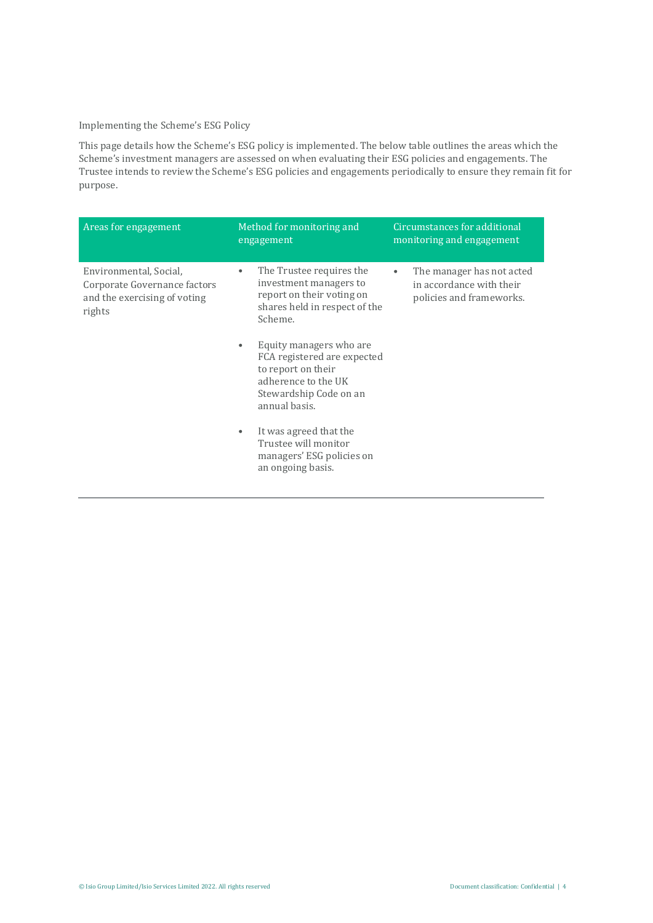#### Implementing the Scheme's ESG Policy

This page details how the Scheme's ESG policy is implemented. The below table outlines the areas which the Scheme's investment managers are assessed on when evaluating their ESG policies and engagements. The Trustee intends to review the Scheme's ESG policies and engagements periodically to ensure they remain fit for purpose.

| Areas for engagement                                                                             | Method for monitoring and<br>engagement                                                                                                              | Circumstances for additional<br>monitoring and engagement                                      |
|--------------------------------------------------------------------------------------------------|------------------------------------------------------------------------------------------------------------------------------------------------------|------------------------------------------------------------------------------------------------|
| Environmental, Social,<br>Corporate Governance factors<br>and the exercising of voting<br>rights | The Trustee requires the<br>۰<br>investment managers to<br>report on their voting on<br>shares held in respect of the<br>Scheme.                     | The manager has not acted<br>$\bullet$<br>in accordance with their<br>policies and frameworks. |
|                                                                                                  | Equity managers who are.<br>۰<br>FCA registered are expected<br>to report on their<br>adherence to the UK<br>Stewardship Code on an<br>annual basis. |                                                                                                |
|                                                                                                  | It was agreed that the<br>Trustee will monitor<br>managers' ESG policies on<br>an ongoing basis.                                                     |                                                                                                |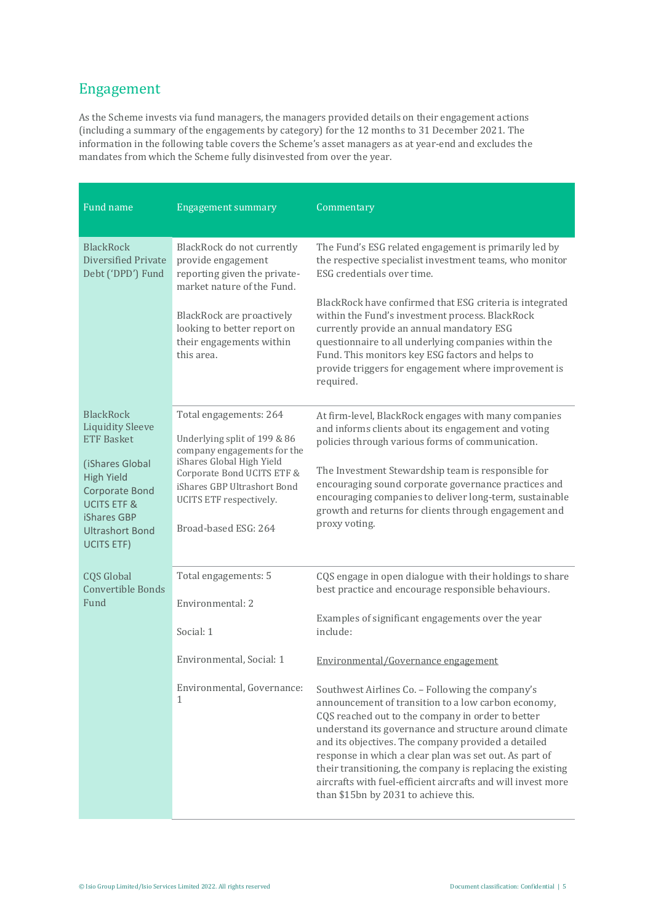### Engagement

As the Scheme invests via fund managers, the managers provided details on their engagement actions (including a summary of the engagements by category) for the 12 months to 31 December 2021. The information in the following table covers the Scheme's asset managers as at year-end and excludes the mandates from which the Scheme fully disinvested from over the year.

| Fund name                                                                                                                                             | <b>Engagement summary</b>                                                                                                                                                | Commentary                                                                                                                                                                                                                                                                                                                                                                                                                                                                                                    |
|-------------------------------------------------------------------------------------------------------------------------------------------------------|--------------------------------------------------------------------------------------------------------------------------------------------------------------------------|---------------------------------------------------------------------------------------------------------------------------------------------------------------------------------------------------------------------------------------------------------------------------------------------------------------------------------------------------------------------------------------------------------------------------------------------------------------------------------------------------------------|
| <b>BlackRock</b><br>Diversified Private<br>Debt ('DPD') Fund                                                                                          | BlackRock do not currently<br>provide engagement<br>reporting given the private-<br>market nature of the Fund.                                                           | The Fund's ESG related engagement is primarily led by<br>the respective specialist investment teams, who monitor<br>ESG credentials over time.                                                                                                                                                                                                                                                                                                                                                                |
|                                                                                                                                                       | BlackRock are proactively<br>looking to better report on<br>their engagements within<br>this area.                                                                       | BlackRock have confirmed that ESG criteria is integrated<br>within the Fund's investment process. BlackRock<br>currently provide an annual mandatory ESG<br>questionnaire to all underlying companies within the<br>Fund. This monitors key ESG factors and helps to<br>provide triggers for engagement where improvement is<br>required.                                                                                                                                                                     |
| <b>BlackRock</b><br><b>Liquidity Sleeve</b><br><b>ETF Basket</b>                                                                                      | Total engagements: 264<br>Underlying split of 199 & 86                                                                                                                   | At firm-level, BlackRock engages with many companies<br>and informs clients about its engagement and voting<br>policies through various forms of communication.                                                                                                                                                                                                                                                                                                                                               |
| (iShares Global<br><b>High Yield</b><br><b>Corporate Bond</b><br><b>UCITS ETF &amp;</b><br>iShares GBP<br><b>Ultrashort Bond</b><br><b>UCITS ETF)</b> | company engagements for the<br>iShares Global High Yield<br>Corporate Bond UCITS ETF &<br>iShares GBP Ultrashort Bond<br>UCITS ETF respectively.<br>Broad-based ESG: 264 | The Investment Stewardship team is responsible for<br>encouraging sound corporate governance practices and<br>encouraging companies to deliver long-term, sustainable<br>growth and returns for clients through engagement and<br>proxy voting.                                                                                                                                                                                                                                                               |
| <b>CQS Global</b><br><b>Convertible Bonds</b><br>Fund                                                                                                 | Total engagements: 5<br>Environmental: 2                                                                                                                                 | CQS engage in open dialogue with their holdings to share<br>best practice and encourage responsible behaviours.                                                                                                                                                                                                                                                                                                                                                                                               |
|                                                                                                                                                       | Social: 1                                                                                                                                                                | Examples of significant engagements over the year<br>include:                                                                                                                                                                                                                                                                                                                                                                                                                                                 |
|                                                                                                                                                       | Environmental, Social: 1                                                                                                                                                 | Environmental/Governance engagement                                                                                                                                                                                                                                                                                                                                                                                                                                                                           |
|                                                                                                                                                       | Environmental, Governance:<br>1                                                                                                                                          | Southwest Airlines Co. - Following the company's<br>announcement of transition to a low carbon economy,<br>CQS reached out to the company in order to better<br>understand its governance and structure around climate<br>and its objectives. The company provided a detailed<br>response in which a clear plan was set out. As part of<br>their transitioning, the company is replacing the existing<br>aircrafts with fuel-efficient aircrafts and will invest more<br>than \$15bn by 2031 to achieve this. |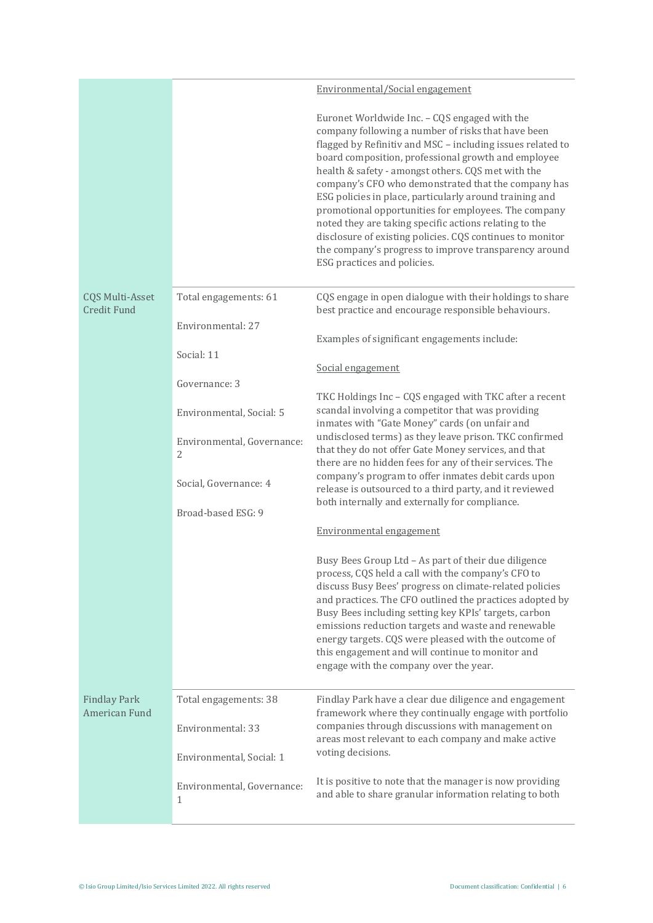|                                              |                                 | Environmental/Social engagement                                                                                                                                                                                                                                                                                                                                                                                                                                                                                                                                                                                                                                         |
|----------------------------------------------|---------------------------------|-------------------------------------------------------------------------------------------------------------------------------------------------------------------------------------------------------------------------------------------------------------------------------------------------------------------------------------------------------------------------------------------------------------------------------------------------------------------------------------------------------------------------------------------------------------------------------------------------------------------------------------------------------------------------|
|                                              |                                 |                                                                                                                                                                                                                                                                                                                                                                                                                                                                                                                                                                                                                                                                         |
|                                              |                                 | Euronet Worldwide Inc. - CQS engaged with the<br>company following a number of risks that have been<br>flagged by Refinitiv and MSC - including issues related to<br>board composition, professional growth and employee<br>health & safety - amongst others. CQS met with the<br>company's CFO who demonstrated that the company has<br>ESG policies in place, particularly around training and<br>promotional opportunities for employees. The company<br>noted they are taking specific actions relating to the<br>disclosure of existing policies. CQS continues to monitor<br>the company's progress to improve transparency around<br>ESG practices and policies. |
| <b>CQS Multi-Asset</b><br><b>Credit Fund</b> | Total engagements: 61           | CQS engage in open dialogue with their holdings to share<br>best practice and encourage responsible behaviours.                                                                                                                                                                                                                                                                                                                                                                                                                                                                                                                                                         |
|                                              | Environmental: 27               | Examples of significant engagements include:                                                                                                                                                                                                                                                                                                                                                                                                                                                                                                                                                                                                                            |
|                                              | Social: 11                      | Social engagement                                                                                                                                                                                                                                                                                                                                                                                                                                                                                                                                                                                                                                                       |
|                                              | Governance: 3                   | TKC Holdings Inc - CQS engaged with TKC after a recent<br>scandal involving a competitor that was providing                                                                                                                                                                                                                                                                                                                                                                                                                                                                                                                                                             |
|                                              | Environmental, Social: 5        | inmates with "Gate Money" cards (on unfair and<br>undisclosed terms) as they leave prison. TKC confirmed                                                                                                                                                                                                                                                                                                                                                                                                                                                                                                                                                                |
|                                              | Environmental, Governance:<br>2 | that they do not offer Gate Money services, and that<br>there are no hidden fees for any of their services. The                                                                                                                                                                                                                                                                                                                                                                                                                                                                                                                                                         |
|                                              | Social, Governance: 4           | company's program to offer inmates debit cards upon<br>release is outsourced to a third party, and it reviewed                                                                                                                                                                                                                                                                                                                                                                                                                                                                                                                                                          |
|                                              | Broad-based ESG: 9              | both internally and externally for compliance.                                                                                                                                                                                                                                                                                                                                                                                                                                                                                                                                                                                                                          |
|                                              |                                 | Environmental engagement                                                                                                                                                                                                                                                                                                                                                                                                                                                                                                                                                                                                                                                |
|                                              |                                 | Busy Bees Group Ltd - As part of their due diligence<br>process, CQS held a call with the company's CFO to<br>discuss Busy Bees' progress on climate-related policies<br>and practices. The CFO outlined the practices adopted by<br>Busy Bees including setting key KPIs' targets, carbon<br>emissions reduction targets and waste and renewable<br>energy targets. CQS were pleased with the outcome of<br>this engagement and will continue to monitor and<br>engage with the company over the year.                                                                                                                                                                 |
| <b>Findlay Park</b><br>American Fund         | Total engagements: 38           | Findlay Park have a clear due diligence and engagement<br>framework where they continually engage with portfolio                                                                                                                                                                                                                                                                                                                                                                                                                                                                                                                                                        |
|                                              | Environmental: 33               | companies through discussions with management on<br>areas most relevant to each company and make active                                                                                                                                                                                                                                                                                                                                                                                                                                                                                                                                                                 |
|                                              | Environmental, Social: 1        | voting decisions.                                                                                                                                                                                                                                                                                                                                                                                                                                                                                                                                                                                                                                                       |
|                                              | Environmental, Governance:<br>1 | It is positive to note that the manager is now providing<br>and able to share granular information relating to both                                                                                                                                                                                                                                                                                                                                                                                                                                                                                                                                                     |
|                                              |                                 |                                                                                                                                                                                                                                                                                                                                                                                                                                                                                                                                                                                                                                                                         |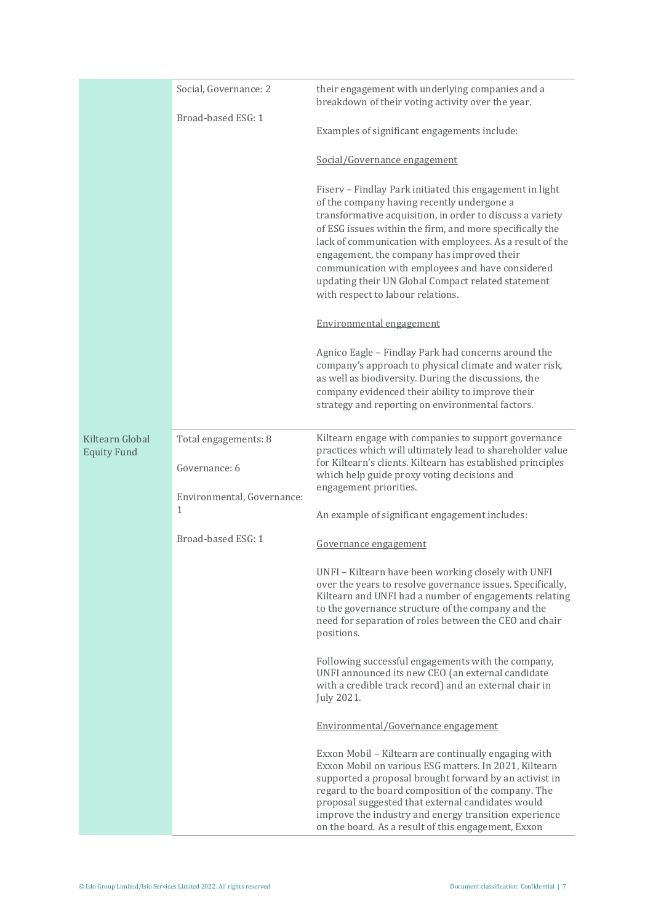|                                       | Social, Governance: 2                      | their engagement with underlying companies and a<br>breakdown of their voting activity over the year.                                                                                                                                                                                                                                                                                                                                                                                    |
|---------------------------------------|--------------------------------------------|------------------------------------------------------------------------------------------------------------------------------------------------------------------------------------------------------------------------------------------------------------------------------------------------------------------------------------------------------------------------------------------------------------------------------------------------------------------------------------------|
|                                       | Broad-based ESG: 1                         | Examples of significant engagements include:                                                                                                                                                                                                                                                                                                                                                                                                                                             |
|                                       |                                            | Social/Governance engagement                                                                                                                                                                                                                                                                                                                                                                                                                                                             |
|                                       |                                            | Fiserv - Findlay Park initiated this engagement in light<br>of the company having recently undergone a<br>transformative acquisition, in order to discuss a variety<br>of ESG issues within the firm, and more specifically the<br>lack of communication with employees. As a result of the<br>engagement, the company has improved their<br>communication with employees and have considered<br>updating their UN Global Compact related statement<br>with respect to labour relations. |
|                                       |                                            | Environmental engagement                                                                                                                                                                                                                                                                                                                                                                                                                                                                 |
|                                       |                                            | Agnico Eagle - Findlay Park had concerns around the<br>company's approach to physical climate and water risk,<br>as well as biodiversity. During the discussions, the<br>company evidenced their ability to improve their<br>strategy and reporting on environmental factors.                                                                                                                                                                                                            |
| Kiltearn Global<br><b>Equity Fund</b> | Total engagements: 8                       | Kiltearn engage with companies to support governance<br>practices which will ultimately lead to shareholder value                                                                                                                                                                                                                                                                                                                                                                        |
|                                       | Governance: 6                              | for Kiltearn's clients. Kiltearn has established principles<br>which help guide proxy voting decisions and<br>engagement priorities.                                                                                                                                                                                                                                                                                                                                                     |
|                                       | Environmental, Governance:<br>$\mathbf{1}$ | An example of significant engagement includes:                                                                                                                                                                                                                                                                                                                                                                                                                                           |
|                                       | Broad-based ESG: 1                         | Governance engagement                                                                                                                                                                                                                                                                                                                                                                                                                                                                    |
|                                       |                                            | UNFI - Kiltearn have been working closely with UNFI<br>over the years to resolve governance issues. Specifically,<br>Kiltearn and UNFI had a number of engagements relating<br>to the governance structure of the company and the<br>need for separation of roles between the CEO and chair<br>positions.                                                                                                                                                                                |
|                                       |                                            | Following successful engagements with the company,<br>UNFI announced its new CEO (an external candidate<br>with a credible track record) and an external chair in<br>July 2021.                                                                                                                                                                                                                                                                                                          |
|                                       |                                            | Environmental/Governance engagement                                                                                                                                                                                                                                                                                                                                                                                                                                                      |
|                                       |                                            | Exxon Mobil - Kiltearn are continually engaging with<br>Exxon Mobil on various ESG matters. In 2021, Kiltearn<br>supported a proposal brought forward by an activist in<br>regard to the board composition of the company. The<br>proposal suggested that external candidates would<br>improve the industry and energy transition experience<br>on the board. As a result of this engagement, Exxon                                                                                      |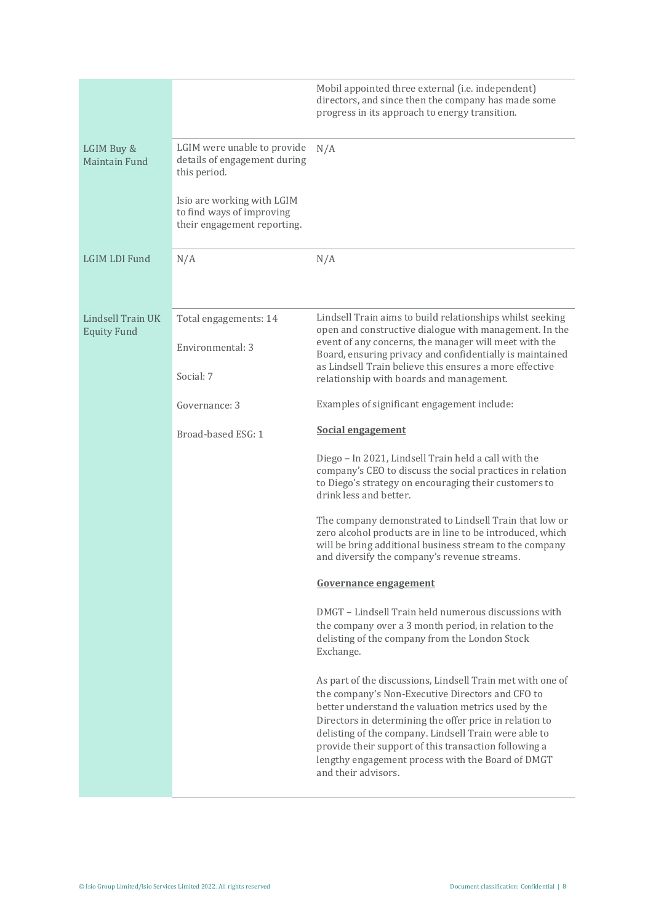|                                         |                                                                                        | Mobil appointed three external (i.e. independent)<br>directors, and since then the company has made some<br>progress in its approach to energy transition.                                                                                                                                                                                                                                                                     |
|-----------------------------------------|----------------------------------------------------------------------------------------|--------------------------------------------------------------------------------------------------------------------------------------------------------------------------------------------------------------------------------------------------------------------------------------------------------------------------------------------------------------------------------------------------------------------------------|
| LGIM Buy &<br>Maintain Fund             | LGIM were unable to provide<br>details of engagement during<br>this period.            | N/A                                                                                                                                                                                                                                                                                                                                                                                                                            |
|                                         | Isio are working with LGIM<br>to find ways of improving<br>their engagement reporting. |                                                                                                                                                                                                                                                                                                                                                                                                                                |
| LGIM LDI Fund                           | N/A                                                                                    | N/A                                                                                                                                                                                                                                                                                                                                                                                                                            |
| Lindsell Train UK<br><b>Equity Fund</b> | Total engagements: 14                                                                  | Lindsell Train aims to build relationships whilst seeking<br>open and constructive dialogue with management. In the                                                                                                                                                                                                                                                                                                            |
|                                         | Environmental: 3<br>Social: 7                                                          | event of any concerns, the manager will meet with the<br>Board, ensuring privacy and confidentially is maintained<br>as Lindsell Train believe this ensures a more effective<br>relationship with boards and management.                                                                                                                                                                                                       |
|                                         | Governance: 3                                                                          | Examples of significant engagement include:                                                                                                                                                                                                                                                                                                                                                                                    |
|                                         | Broad-based ESG: 1                                                                     | <b>Social engagement</b>                                                                                                                                                                                                                                                                                                                                                                                                       |
|                                         |                                                                                        | Diego - In 2021, Lindsell Train held a call with the<br>company's CEO to discuss the social practices in relation<br>to Diego's strategy on encouraging their customers to<br>drink less and better.                                                                                                                                                                                                                           |
|                                         |                                                                                        | The company demonstrated to Lindsell Train that low or<br>zero alcohol products are in line to be introduced, which<br>will be bring additional business stream to the company<br>and diversify the company's revenue streams.                                                                                                                                                                                                 |
|                                         |                                                                                        | Governance engagement                                                                                                                                                                                                                                                                                                                                                                                                          |
|                                         |                                                                                        | DMGT - Lindsell Train held numerous discussions with<br>the company over a 3 month period, in relation to the<br>delisting of the company from the London Stock<br>Exchange.                                                                                                                                                                                                                                                   |
|                                         |                                                                                        | As part of the discussions, Lindsell Train met with one of<br>the company's Non-Executive Directors and CFO to<br>better understand the valuation metrics used by the<br>Directors in determining the offer price in relation to<br>delisting of the company. Lindsell Train were able to<br>provide their support of this transaction following a<br>lengthy engagement process with the Board of DMGT<br>and their advisors. |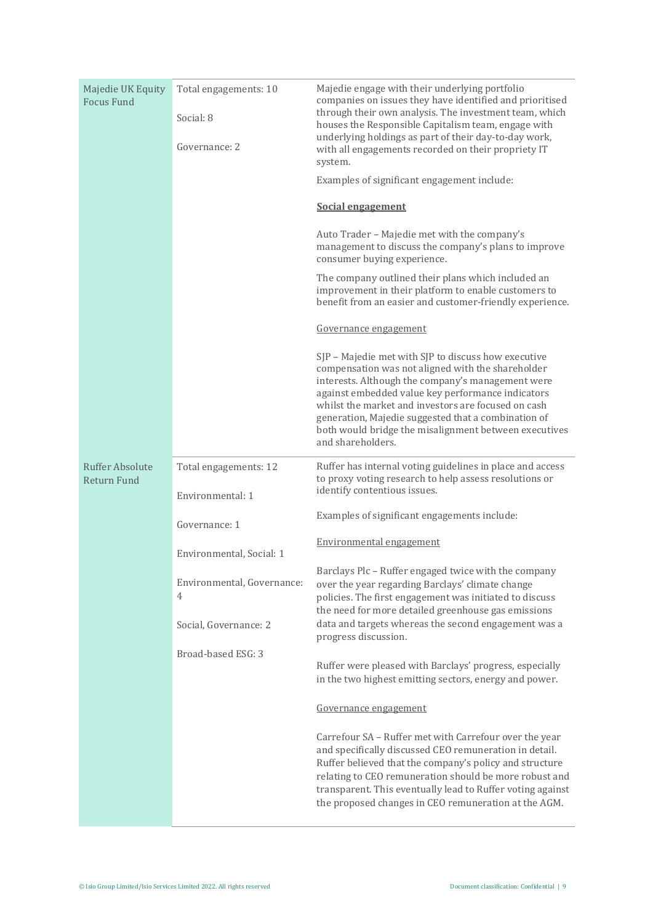| Majedie UK Equity<br><b>Focus Fund</b>       | Total engagements: 10<br>Social: 8<br>Governance: 2 | Majedie engage with their underlying portfolio<br>companies on issues they have identified and prioritised<br>through their own analysis. The investment team, which<br>houses the Responsible Capitalism team, engage with<br>underlying holdings as part of their day-to-day work,<br>with all engagements recorded on their propriety IT<br>system.<br>Examples of significant engagement include:<br><b>Social engagement</b><br>Auto Trader - Majedie met with the company's<br>management to discuss the company's plans to improve<br>consumer buying experience.<br>The company outlined their plans which included an<br>improvement in their platform to enable customers to<br>benefit from an easier and customer-friendly experience.<br>Governance engagement<br>SJP - Majedie met with SJP to discuss how executive<br>compensation was not aligned with the shareholder<br>interests. Although the company's management were<br>against embedded value key performance indicators<br>whilst the market and investors are focused on cash<br>generation, Majedie suggested that a combination of<br>both would bridge the misalignment between executives<br>and shareholders. |
|----------------------------------------------|-----------------------------------------------------|-----------------------------------------------------------------------------------------------------------------------------------------------------------------------------------------------------------------------------------------------------------------------------------------------------------------------------------------------------------------------------------------------------------------------------------------------------------------------------------------------------------------------------------------------------------------------------------------------------------------------------------------------------------------------------------------------------------------------------------------------------------------------------------------------------------------------------------------------------------------------------------------------------------------------------------------------------------------------------------------------------------------------------------------------------------------------------------------------------------------------------------------------------------------------------------------------|
| <b>Ruffer Absolute</b><br><b>Return Fund</b> | Total engagements: 12<br>Environmental: 1           | Ruffer has internal voting guidelines in place and access<br>to proxy voting research to help assess resolutions or<br>identify contentious issues.                                                                                                                                                                                                                                                                                                                                                                                                                                                                                                                                                                                                                                                                                                                                                                                                                                                                                                                                                                                                                                           |
|                                              | Governance: 1                                       | Examples of significant engagements include:                                                                                                                                                                                                                                                                                                                                                                                                                                                                                                                                                                                                                                                                                                                                                                                                                                                                                                                                                                                                                                                                                                                                                  |
|                                              | Environmental, Social: 1                            | Environmental engagement                                                                                                                                                                                                                                                                                                                                                                                                                                                                                                                                                                                                                                                                                                                                                                                                                                                                                                                                                                                                                                                                                                                                                                      |
|                                              | Environmental, Governance:<br>4                     | Barclays Plc - Ruffer engaged twice with the company<br>over the year regarding Barclays' climate change<br>policies. The first engagement was initiated to discuss<br>the need for more detailed greenhouse gas emissions                                                                                                                                                                                                                                                                                                                                                                                                                                                                                                                                                                                                                                                                                                                                                                                                                                                                                                                                                                    |
|                                              | Social, Governance: 2                               | data and targets whereas the second engagement was a<br>progress discussion.                                                                                                                                                                                                                                                                                                                                                                                                                                                                                                                                                                                                                                                                                                                                                                                                                                                                                                                                                                                                                                                                                                                  |
|                                              | Broad-based ESG: 3                                  | Ruffer were pleased with Barclays' progress, especially<br>in the two highest emitting sectors, energy and power.                                                                                                                                                                                                                                                                                                                                                                                                                                                                                                                                                                                                                                                                                                                                                                                                                                                                                                                                                                                                                                                                             |
|                                              |                                                     | Governance engagement                                                                                                                                                                                                                                                                                                                                                                                                                                                                                                                                                                                                                                                                                                                                                                                                                                                                                                                                                                                                                                                                                                                                                                         |
|                                              |                                                     | Carrefour SA - Ruffer met with Carrefour over the year<br>and specifically discussed CEO remuneration in detail.<br>Ruffer believed that the company's policy and structure<br>relating to CEO remuneration should be more robust and<br>transparent. This eventually lead to Ruffer voting against<br>the proposed changes in CEO remuneration at the AGM.                                                                                                                                                                                                                                                                                                                                                                                                                                                                                                                                                                                                                                                                                                                                                                                                                                   |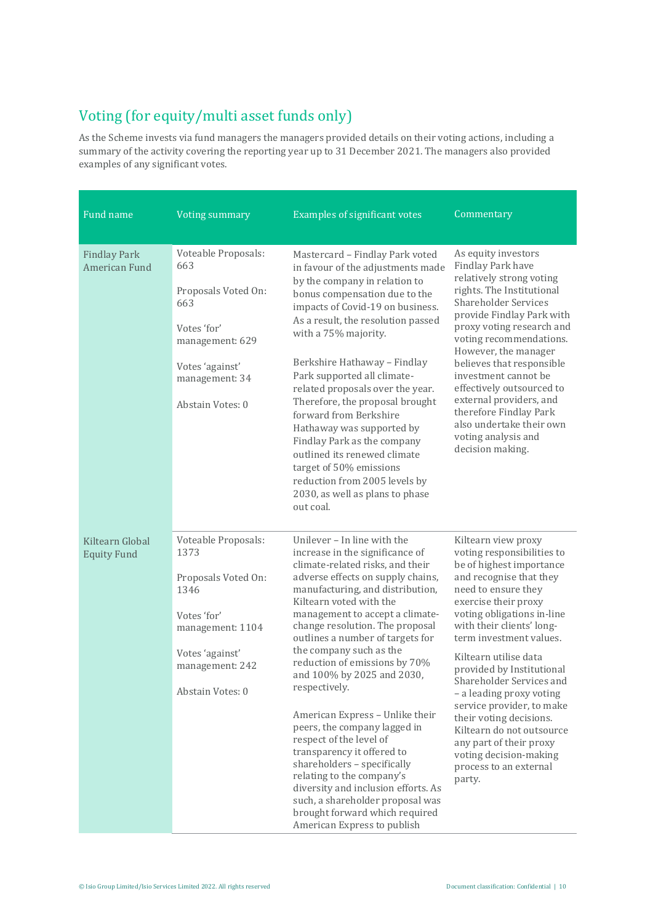## Voting (for equity/multi asset funds only)

As the Scheme invests via fund managers the managers provided details on their voting actions, including a summary of the activity covering the reporting year up to 31 December 2021. The managers also provided examples of any significant votes.

| Fund name                             | <b>Voting summary</b>                                                                                                                                   | <b>Examples of significant votes</b>                                                                                                                                                                                                                                                                                                                                                                                                                                                                                                                                                                                                                                                                                                                            | Commentary                                                                                                                                                                                                                                                                                                                                                                                                                                                                                                                                |
|---------------------------------------|---------------------------------------------------------------------------------------------------------------------------------------------------------|-----------------------------------------------------------------------------------------------------------------------------------------------------------------------------------------------------------------------------------------------------------------------------------------------------------------------------------------------------------------------------------------------------------------------------------------------------------------------------------------------------------------------------------------------------------------------------------------------------------------------------------------------------------------------------------------------------------------------------------------------------------------|-------------------------------------------------------------------------------------------------------------------------------------------------------------------------------------------------------------------------------------------------------------------------------------------------------------------------------------------------------------------------------------------------------------------------------------------------------------------------------------------------------------------------------------------|
|                                       |                                                                                                                                                         |                                                                                                                                                                                                                                                                                                                                                                                                                                                                                                                                                                                                                                                                                                                                                                 |                                                                                                                                                                                                                                                                                                                                                                                                                                                                                                                                           |
| <b>Findlay Park</b><br>American Fund  | Voteable Proposals:<br>663<br>Proposals Voted On:<br>663<br>Votes 'for'<br>management: 629<br>Votes 'against'<br>management: 34<br>Abstain Votes: 0     | Mastercard - Findlay Park voted<br>in favour of the adjustments made<br>by the company in relation to<br>bonus compensation due to the<br>impacts of Covid-19 on business.<br>As a result, the resolution passed<br>with a 75% majority.<br>Berkshire Hathaway - Findlay<br>Park supported all climate-<br>related proposals over the year.<br>Therefore, the proposal brought<br>forward from Berkshire<br>Hathaway was supported by<br>Findlay Park as the company<br>outlined its renewed climate<br>target of 50% emissions<br>reduction from 2005 levels by<br>2030, as well as plans to phase<br>out coal.                                                                                                                                                | As equity investors<br>Findlay Park have<br>relatively strong voting<br>rights. The Institutional<br><b>Shareholder Services</b><br>provide Findlay Park with<br>proxy voting research and<br>voting recommendations.<br>However, the manager<br>believes that responsible<br>investment cannot be<br>effectively outsourced to<br>external providers, and<br>therefore Findlay Park<br>also undertake their own<br>voting analysis and<br>decision making.                                                                               |
| Kiltearn Global<br><b>Equity Fund</b> | Voteable Proposals:<br>1373<br>Proposals Voted On:<br>1346<br>Votes 'for'<br>management: 1104<br>Votes 'against'<br>management: 242<br>Abstain Votes: 0 | Unilever - In line with the<br>increase in the significance of<br>climate-related risks, and their<br>adverse effects on supply chains,<br>manufacturing, and distribution,<br>Kiltearn voted with the<br>management to accept a climate-<br>change resolution. The proposal<br>outlines a number of targets for<br>the company such as the<br>reduction of emissions by 70%<br>and 100% by 2025 and 2030,<br>respectively.<br>American Express - Unlike their<br>peers, the company lagged in<br>respect of the level of<br>transparency it offered to<br>shareholders - specifically<br>relating to the company's<br>diversity and inclusion efforts. As<br>such, a shareholder proposal was<br>brought forward which required<br>American Express to publish | Kiltearn view proxy<br>voting responsibilities to<br>be of highest importance<br>and recognise that they<br>need to ensure they<br>exercise their proxy<br>voting obligations in-line<br>with their clients' long-<br>term investment values.<br>Kiltearn utilise data<br>provided by Institutional<br>Shareholder Services and<br>- a leading proxy voting<br>service provider, to make<br>their voting decisions.<br>Kiltearn do not outsource<br>any part of their proxy<br>voting decision-making<br>process to an external<br>party. |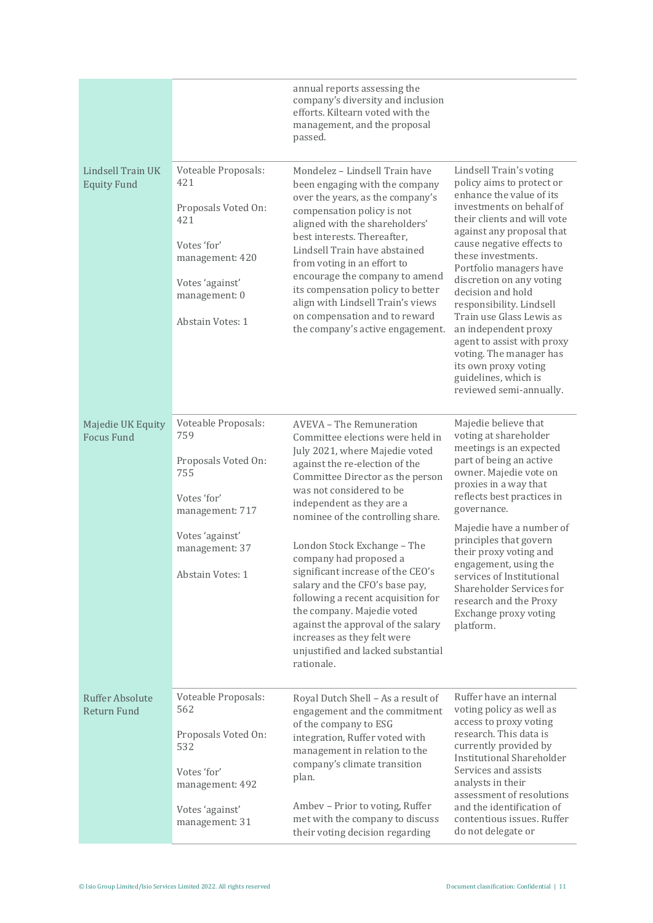|                                              |                                                                                                                                                     | annual reports assessing the<br>company's diversity and inclusion<br>efforts. Kiltearn voted with the<br>management, and the proposal<br>passed.                                                                                                                                                                                                                                                                                                                                                                                                                                                |                                                                                                                                                                                                                                                                                                                                                                                                                                                                                                                             |
|----------------------------------------------|-----------------------------------------------------------------------------------------------------------------------------------------------------|-------------------------------------------------------------------------------------------------------------------------------------------------------------------------------------------------------------------------------------------------------------------------------------------------------------------------------------------------------------------------------------------------------------------------------------------------------------------------------------------------------------------------------------------------------------------------------------------------|-----------------------------------------------------------------------------------------------------------------------------------------------------------------------------------------------------------------------------------------------------------------------------------------------------------------------------------------------------------------------------------------------------------------------------------------------------------------------------------------------------------------------------|
| Lindsell Train UK<br><b>Equity Fund</b>      | Voteable Proposals:<br>421<br>Proposals Voted On:<br>421<br>Votes 'for'<br>management: 420<br>Votes 'against'<br>management: 0<br>Abstain Votes: 1  | Mondelez - Lindsell Train have<br>been engaging with the company<br>over the years, as the company's<br>compensation policy is not<br>aligned with the shareholders'<br>best interests. Thereafter,<br>Lindsell Train have abstained<br>from voting in an effort to<br>encourage the company to amend<br>its compensation policy to better<br>align with Lindsell Train's views<br>on compensation and to reward<br>the company's active engagement.                                                                                                                                            | Lindsell Train's voting<br>policy aims to protect or<br>enhance the value of its<br>investments on behalf of<br>their clients and will vote<br>against any proposal that<br>cause negative effects to<br>these investments.<br>Portfolio managers have<br>discretion on any voting<br>decision and hold<br>responsibility. Lindsell<br>Train use Glass Lewis as<br>an independent proxy<br>agent to assist with proxy<br>voting. The manager has<br>its own proxy voting<br>guidelines, which is<br>reviewed semi-annually. |
| Majedie UK Equity<br><b>Focus Fund</b>       | Voteable Proposals:<br>759<br>Proposals Voted On:<br>755<br>Votes 'for'<br>management: 717<br>Votes 'against'<br>management: 37<br>Abstain Votes: 1 | AVEVA - The Remuneration<br>Committee elections were held in<br>July 2021, where Majedie voted<br>against the re-election of the<br>Committee Director as the person<br>was not considered to be<br>independent as they are a<br>nominee of the controlling share.<br>London Stock Exchange - The<br>company had proposed a<br>significant increase of the CEO's<br>salary and the CFO's base pay,<br>following a recent acquisition for<br>the company. Majedie voted<br>against the approval of the salary<br>increases as they felt were<br>unjustified and lacked substantial<br>rationale. | Majedie believe that<br>voting at shareholder<br>meetings is an expected<br>part of being an active<br>owner. Majedie vote on<br>proxies in a way that<br>reflects best practices in<br>governance.<br>Majedie have a number of<br>principles that govern<br>their proxy voting and<br>engagement, using the<br>services of Institutional<br>Shareholder Services for<br>research and the Proxy<br>Exchange proxy voting<br>platform.                                                                                       |
| <b>Ruffer Absolute</b><br><b>Return Fund</b> | Voteable Proposals:<br>562<br>Proposals Voted On:<br>532<br>Votes 'for'<br>management: 492<br>Votes 'against'<br>management: 31                     | Royal Dutch Shell - As a result of<br>engagement and the commitment<br>of the company to ESG<br>integration, Ruffer voted with<br>management in relation to the<br>company's climate transition<br>plan.<br>Ambev - Prior to voting, Ruffer<br>met with the company to discuss<br>their voting decision regarding                                                                                                                                                                                                                                                                               | Ruffer have an internal<br>voting policy as well as<br>access to proxy voting<br>research. This data is<br>currently provided by<br><b>Institutional Shareholder</b><br>Services and assists<br>analysts in their<br>assessment of resolutions<br>and the identification of<br>contentious issues. Ruffer<br>do not delegate or                                                                                                                                                                                             |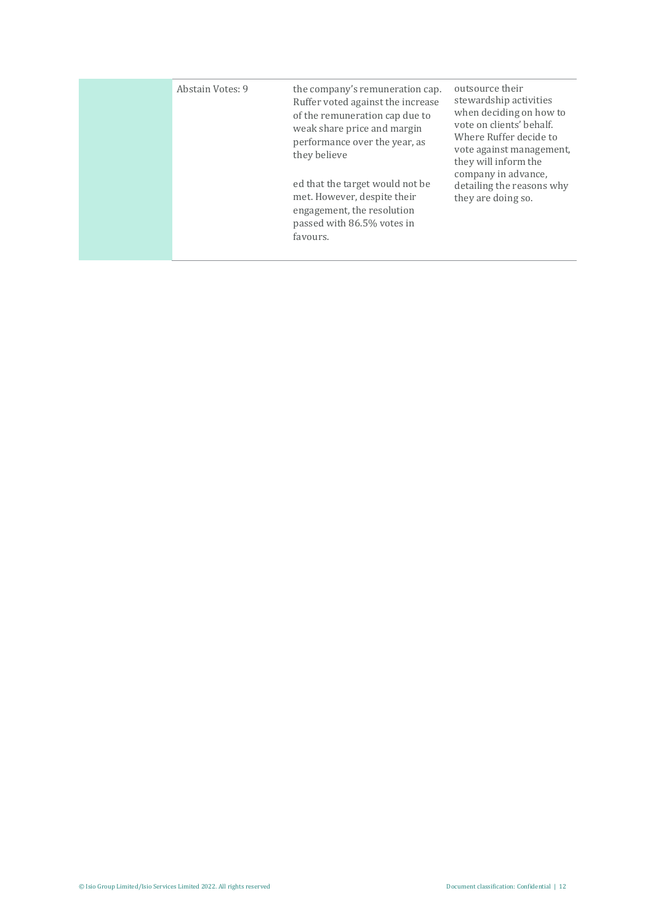| Abstain Votes: 9 | the company's remuneration cap.<br>Ruffer voted against the increase<br>of the remuneration cap due to<br>weak share price and margin<br>performance over the year, as<br>they believe<br>ed that the target would not be<br>met. However, despite their<br>engagement, the resolution<br>passed with 86.5% votes in<br>favours. | outsource their<br>stewardship activities<br>when deciding on how to<br>vote on clients' behalf.<br>Where Ruffer decide to<br>vote against management,<br>they will inform the<br>company in advance.<br>detailing the reasons why<br>they are doing so. |
|------------------|----------------------------------------------------------------------------------------------------------------------------------------------------------------------------------------------------------------------------------------------------------------------------------------------------------------------------------|----------------------------------------------------------------------------------------------------------------------------------------------------------------------------------------------------------------------------------------------------------|
|                  |                                                                                                                                                                                                                                                                                                                                  |                                                                                                                                                                                                                                                          |